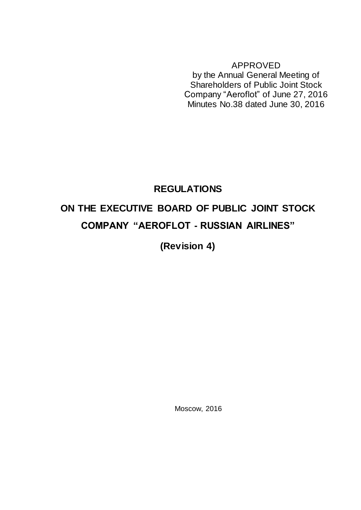APPROVED by the Annual General Meeting of Shareholders of Public Joint Stock Company "Aeroflot" of June 27, 2016 Minutes No.38 dated June 30, 2016

# **REGULATIONS ON THE EXECUTIVE BOARD OF PUBLIC JOINT STOCK COMPANY "AEROFLOT - RUSSIAN AIRLINES"**

**(Revision 4)**

Moscow, 2016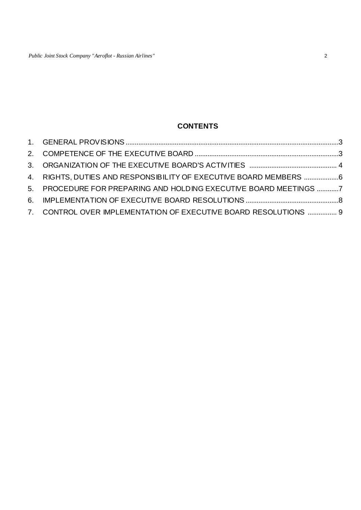## **CONTENTS**

| 4. RIGHTS, DUTIES AND RESPONSIBILITY OF EXECUTIVE BOARD MEMBERS 6 |  |
|-------------------------------------------------------------------|--|
| 5. PROCEDURE FOR PREPARING AND HOLDING EXECUTIVE BOARD MEETINGS 7 |  |
|                                                                   |  |
| 7. CONTROL OVER IMPLEMENTATION OF EXECUTIVE BOARD RESOLUTIONS  9  |  |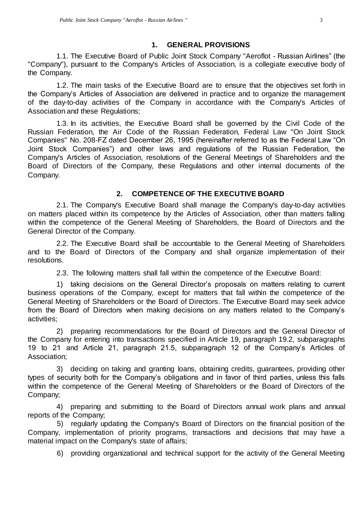#### **1. GENERAL PROVISIONS**

<span id="page-2-0"></span>1.1. The Executive Board of Public Joint Stock Company "Aeroflot - Russian Airlines" (the "Company"), pursuant to the Company's Articles of Association, is a collegiate executive body of the Company.

1.2. The main tasks of the Executive Board are to ensure that the objectives set forth in the Company's Articles of Association are delivered in practice and to organize the management of the day-to-day activities of the Company in accordance with the Company's Articles of Association and these Regulations;

1.3. In its activities, the Executive Board shall be governed by the Civil Code of the Russian Federation, the Air Code of the Russian Federation, Federal Law "On Joint Stock Companies" No. 208-FZ dated December 26, 1995 (hereinafter referred to as the Federal Law "On Joint Stock Companies") and other laws and regulations of the Russian Federation, the Company's Articles of Association, resolutions of the General Meetings of Shareholders and the Board of Directors of the Company, these Regulations and other internal documents of the Company.

#### **2. COMPETENCE OF THE EXECUTIVE BOARD**

<span id="page-2-1"></span>2.1. The Company's Executive Board shall manage the Company's day-to-day activities on matters placed within its competence by the Articles of Association, other than matters falling within the competence of the General Meeting of Shareholders, the Board of Directors and the General Director of the Company.

2.2. The Executive Board shall be accountable to the General Meeting of Shareholders and to the Board of Directors of the Company and shall organize implementation of their resolutions.

2.3. The following matters shall fall within the competence of the Executive Board:

1) taking decisions on the General Director's proposals on matters relating to current business operations of the Company, except for matters that fall within the competence of the General Meeting of Shareholders or the Board of Directors. The Executive Board may seek advice from the Board of Directors when making decisions on any matters related to the Company's activities;

2) preparing recommendations for the Board of Directors and the General Director of the Company for entering into transactions specified in Article 19, paragraph 19.2, subparagraphs 19 to 21 and Article 21, paragraph 21.5, subparagraph 12 of the Company's Articles of Association;

3) deciding on taking and granting loans, obtaining credits, guarantees, providing other types of security both for the Company's obligations and in favor of third parties, unless this falls within the competence of the General Meeting of Shareholders or the Board of Directors of the Company;

4) preparing and submitting to the Board of Directors annual work plans and annual reports of the Company;

5) regularly updating the Company's Board of Directors on the financial position of the Company, implementation of priority programs, transactions and decisions that may have a material impact on the Company's state of affairs;

6) providing organizational and technical support for the activity of the General Meeting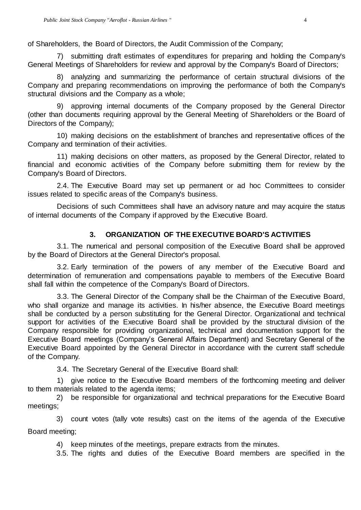of Shareholders, the Board of Directors, the Audit Commission of the Company;

7) submitting draft estimates of expenditures for preparing and holding the Company's General Meetings of Shareholders for review and approval by the Company's Board of Directors;

8) analyzing and summarizing the performance of certain structural divisions of the Company and preparing recommendations on improving the performance of both the Company's structural divisions and the Company as a whole;

9) approving internal documents of the Company proposed by the General Director (other than documents requiring approval by the General Meeting of Shareholders or the Board of Directors of the Company);

10) making decisions on the establishment of branches and representative offices of the Company and termination of their activities.

11) making decisions on other matters, as proposed by the General Director, related to financial and economic activities of the Company before submitting them for review by the Company's Board of Directors.

2.4. The Executive Board may set up permanent or ad hoc Committees to consider issues related to specific areas of the Company's business.

Decisions of such Committees shall have an advisory nature and may acquire the status of internal documents of the Company if approved by the Executive Board.

#### **3. ORGANIZATION OF THE EXECUTIVE BOARD'S ACTIVITIES**

<span id="page-3-0"></span>3.1. The numerical and personal composition of the Executive Board shall be approved by the Board of Directors at the General Director's proposal.

3.2. Early termination of the powers of any member of the Executive Board and determination of remuneration and compensations payable to members of the Executive Board shall fall within the competence of the Company's Board of Directors.

3.3. The General Director of the Company shall be the Chairman of the Executive Board, who shall organize and manage its activities. In his/her absence, the Executive Board meetings shall be conducted by a person substituting for the General Director. Organizational and technical support for activities of the Executive Board shall be provided by the structural division of the Company responsible for providing organizational, technical and documentation support for the Executive Board meetings (Company's General Affairs Department) and Secretary General of the Executive Board appointed by the General Director in accordance with the current staff schedule of the Company.

3.4. The Secretary General of the Executive Board shall:

1) give notice to the Executive Board members of the forthcoming meeting and deliver to them materials related to the agenda items;

2) be responsible for organizational and technical preparations for the Executive Board meetings;

3) count votes (tally vote results) cast on the items of the agenda of the Executive Board meeting;

4) keep minutes of the meetings, prepare extracts from the minutes.

3.5. The rights and duties of the Executive Board members are specified in the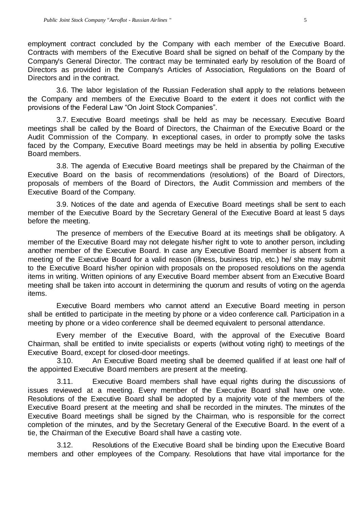employment contract concluded by the Company with each member of the Executive Board. Contracts with members of the Executive Board shall be signed on behalf of the Company by the Company's General Director. The contract may be terminated early by resolution of the Board of Directors as provided in the Company's Articles of Association, Regulations on the Board of Directors and in the contract.

3.6. The labor legislation of the Russian Federation shall apply to the relations between the Company and members of the Executive Board to the extent it does not conflict with the provisions of the Federal Law "On Joint Stock Companies".

3.7. Executive Board meetings shall be held as may be necessary. Executive Board meetings shall be called by the Board of Directors, the Chairman of the Executive Board or the Audit Commission of the Company. In exceptional cases, in order to promptly solve the tasks faced by the Company, Executive Board meetings may be held in absentia by polling Executive Board members.

3.8. The agenda of Executive Board meetings shall be prepared by the Chairman of the Executive Board on the basis of recommendations (resolutions) of the Board of Directors, proposals of members of the Board of Directors, the Audit Commission and members of the Executive Board of the Company.

3.9. Notices of the date and agenda of Executive Board meetings shall be sent to each member of the Executive Board by the Secretary General of the Executive Board at least 5 days before the meeting.

The presence of members of the Executive Board at its meetings shall be obligatory. A member of the Executive Board may not delegate his/her right to vote to another person, including another member of the Executive Board. In case any Executive Board member is absent from a meeting of the Executive Board for a valid reason (illness, business trip, etc.) he/ she may submit to the Executive Board his/her opinion with proposals on the proposed resolutions on the agenda items in writing. Written opinions of any Executive Board member absent from an Executive Board meeting shall be taken into account in determining the quorum and results of voting on the agenda items.

Executive Board members who cannot attend an Executive Board meeting in person shall be entitled to participate in the meeting by phone or a video conference call. Participation in a meeting by phone or a video conference shall be deemed equivalent to personal attendance.

Every member of the Executive Board, with the approval of the Executive Board Chairman, shall be entitled to invite specialists or experts (without voting right) to meetings of the Executive Board, except for closed-door meetings.

3.10. An Executive Board meeting shall be deemed qualified if at least one half of the appointed Executive Board members are present at the meeting.

3.11. Executive Board members shall have equal rights during the discussions of issues reviewed at a meeting. Every member of the Executive Board shall have one vote. Resolutions of the Executive Board shall be adopted by a majority vote of the members of the Executive Board present at the meeting and shall be recorded in the minutes. The minutes of the Executive Board meetings shall be signed by the Chairman, who is responsible for the correct completion of the minutes, and by the Secretary General of the Executive Board. In the event of a tie, the Chairman of the Executive Board shall have a casting vote.

3.12. Resolutions of the Executive Board shall be binding upon the Executive Board members and other employees of the Company. Resolutions that have vital importance for the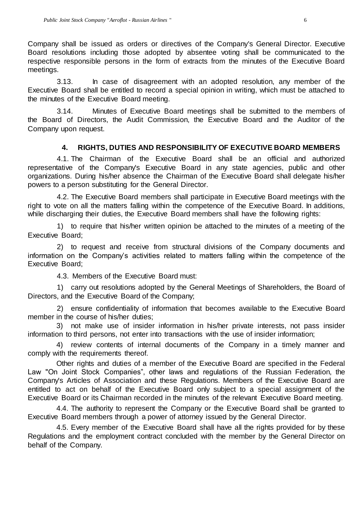Company shall be issued as orders or directives of the Company's General Director. Executive Board resolutions including those adopted by absentee voting shall be communicated to the respective responsible persons in the form of extracts from the minutes of the Executive Board meetings.

3.13. In case of disagreement with an adopted resolution, any member of the Executive Board shall be entitled to record a special opinion in writing, which must be attached to the minutes of the Executive Board meeting.

3.14. Minutes of Executive Board meetings shall be submitted to the members of the Board of Directors, the Audit Commission, the Executive Board and the Auditor of the Company upon request.

#### **4. RIGHTS, DUTIES AND RESPONSIBILITY OF EXECUTIVE BOARD MEMBERS**

<span id="page-5-0"></span>4.1. The Chairman of the Executive Board shall be an official and authorized representative of the Company's Executive Board in any state agencies, public and other organizations. During his/her absence the Chairman of the Executive Board shall delegate his/her powers to a person substituting for the General Director.

4.2. The Executive Board members shall participate in Executive Board meetings with the right to vote on all the matters falling within the competence of the Executive Board. In additions, while discharging their duties, the Executive Board members shall have the following rights:

1) to require that his/her written opinion be attached to the minutes of a meeting of the Executive Board;

2) to request and receive from structural divisions of the Company documents and information on the Company's activities related to matters falling within the competence of the Executive Board;

4.3. Members of the Executive Board must:

1) carry out resolutions adopted by the General Meetings of Shareholders, the Board of Directors, and the Executive Board of the Company;

2) ensure confidentiality of information that becomes available to the Executive Board member in the course of his/her duties;

3) not make use of insider information in his/her private interests, not pass insider information to third persons, not enter into transactions with the use of insider information;

4) review contents of internal documents of the Company in a timely manner and comply with the requirements thereof.

Other rights and duties of a member of the Executive Board are specified in the Federal Law "On Joint Stock Companies", other laws and regulations of the Russian Federation, the Company's Articles of Association and these Regulations. Members of the Executive Board are entitled to act on behalf of the Executive Board only subject to a special assignment of the Executive Board or its Chairman recorded in the minutes of the relevant Executive Board meeting.

4.4. The authority to represent the Company or the Executive Board shall be granted to Executive Board members through a power of attorney issued by the General Director.

4.5. Every member of the Executive Board shall have all the rights provided for by these Regulations and the employment contract concluded with the member by the General Director on behalf of the Company.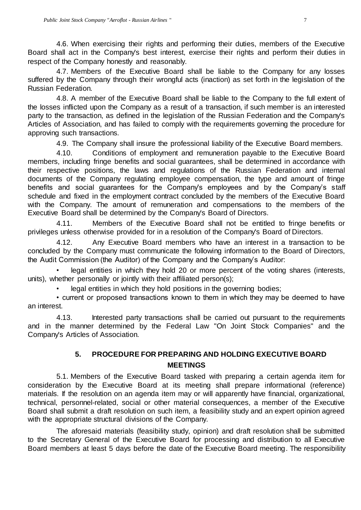4.6. When exercising their rights and performing their duties, members of the Executive Board shall act in the Company's best interest, exercise their rights and perform their duties in respect of the Company honestly and reasonably.

4.7. Members of the Executive Board shall be liable to the Company for any losses suffered by the Company through their wrongful acts (inaction) as set forth in the legislation of the Russian Federation.

4.8. A member of the Executive Board shall be liable to the Company to the full extent of the losses inflicted upon the Company as a result of a transaction, if such member is an interested party to the transaction, as defined in the legislation of the Russian Federation and the Company's Articles of Association, and has failed to comply with the requirements governing the procedure for approving such transactions.

4.9. The Company shall insure the professional liability of the Executive Board members.

4.10. Conditions of employment and remuneration payable to the Executive Board members, including fringe benefits and social guarantees, shall be determined in accordance with their respective positions, the laws and regulations of the Russian Federation and internal documents of the Company regulating employee compensation, the type and amount of fringe benefits and social guarantees for the Company's employees and by the Company's staff schedule and fixed in the employment contract concluded by the members of the Executive Board with the Company. The amount of remuneration and compensations to the members of the Executive Board shall be determined by the Company's Board of Directors.

4.11. Members of the Executive Board shall not be entitled to fringe benefits or privileges unless otherwise provided for in a resolution of the Company's Board of Directors.

4.12. Any Executive Board members who have an interest in a transaction to be concluded by the Company must communicate the following information to the Board of Directors, the Audit Commission (the Auditor) of the Company and the Company's Auditor:

legal entities in which they hold 20 or more percent of the voting shares (interests, units), whether personally or jointly with their affiliated person(s);

legal entities in which they hold positions in the governing bodies;

• current or proposed transactions known to them in which they may be deemed to have an interest.

4.13. Interested party transactions shall be carried out pursuant to the requirements and in the manner determined by the Federal Law "On Joint Stock Companies" and the Company's Articles of Association.

### **5. PROCEDURE FOR PREPARING AND HOLDING EXECUTIVE BOARD MEETINGS**

<span id="page-6-0"></span>5.1. Members of the Executive Board tasked with preparing a certain agenda item for consideration by the Executive Board at its meeting shall prepare informational (reference) materials. If the resolution on an agenda item may or will apparently have financial, organizational, technical, personnel-related, social or other material consequences, a member of the Executive Board shall submit a draft resolution on such item, a feasibility study and an expert opinion agreed with the appropriate structural divisions of the Company.

The aforesaid materials (feasibility study, opinion) and draft resolution shall be submitted to the Secretary General of the Executive Board for processing and distribution to all Executive Board members at least 5 days before the date of the Executive Board meeting. The responsibility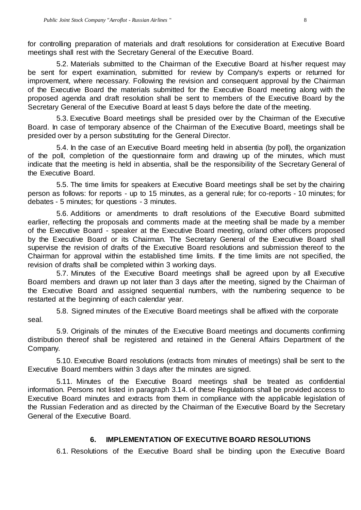for controlling preparation of materials and draft resolutions for consideration at Executive Board meetings shall rest with the Secretary General of the Executive Board.

5.2. Materials submitted to the Chairman of the Executive Board at his/her request may be sent for expert examination, submitted for review by Company's experts or returned for improvement, where necessary. Following the revision and consequent approval by the Chairman of the Executive Board the materials submitted for the Executive Board meeting along with the proposed agenda and draft resolution shall be sent to members of the Executive Board by the Secretary General of the Executive Board at least 5 days before the date of the meeting.

5.3. Executive Board meetings shall be presided over by the Chairman of the Executive Board. In case of temporary absence of the Chairman of the Executive Board, meetings shall be presided over by a person substituting for the General Director.

5.4. In the case of an Executive Board meeting held in absentia (by poll), the organization of the poll, completion of the questionnaire form and drawing up of the minutes, which must indicate that the meeting is held in absentia, shall be the responsibility of the Secretary General of the Executive Board.

5.5. The time limits for speakers at Executive Board meetings shall be set by the chairing person as follows: for reports - up to 15 minutes, as a general rule; for co-reports - 10 minutes; for debates - 5 minutes; for questions - 3 minutes.

5.6. Additions or amendments to draft resolutions of the Executive Board submitted earlier, reflecting the proposals and comments made at the meeting shall be made by a member of the Executive Board - speaker at the Executive Board meeting, or/and other officers proposed by the Executive Board or its Chairman. The Secretary General of the Executive Board shall supervise the revision of drafts of the Executive Board resolutions and submission thereof to the Chairman for approval within the established time limits. If the time limits are not specified, the revision of drafts shall be completed within 3 working days.

5.7. Minutes of the Executive Board meetings shall be agreed upon by all Executive Board members and drawn up not later than 3 days after the meeting, signed by the Chairman of the Executive Board and assigned sequential numbers, with the numbering sequence to be restarted at the beginning of each calendar year.

5.8. Signed minutes of the Executive Board meetings shall be affixed with the corporate seal.

5.9. Originals of the minutes of the Executive Board meetings and documents confirming distribution thereof shall be registered and retained in the General Affairs Department of the Company.

5.10. Executive Board resolutions (extracts from minutes of meetings) shall be sent to the Executive Board members within 3 days after the minutes are signed.

5.11. Minutes of the Executive Board meetings shall be treated as confidential information. Persons not listed in paragraph 3.14. of these Regulations shall be provided access to Executive Board minutes and extracts from them in compliance with the applicable legislation of the Russian Federation and as directed by the Chairman of the Executive Board by the Secretary General of the Executive Board.

#### **6. IMPLEMENTATION OF EXECUTIVE BOARD RESOLUTIONS**

<span id="page-7-0"></span>6.1. Resolutions of the Executive Board shall be binding upon the Executive Board